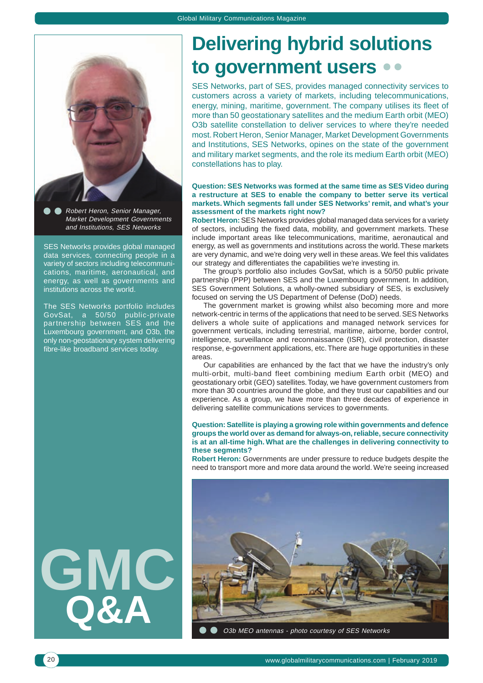

Robert Heron, Senior Manager, Market Development Governments and Institutions, SES Networks

SES Networks provides global managed data services, connecting people in a variety of sectors including telecommunications, maritime, aeronautical, and energy, as well as governments and institutions across the world.

The SES Networks portfolio includes GovSat, a 50/50 public-private partnership between SES and the Luxembourg government, and O3b, the only non-geostationary system delivering fibre-like broadband services today.

**GMC Q&A**

## **Delivering hybrid solutions to government users**

SES Networks, part of SES, provides managed connectivity services to customers across a variety of markets, including telecommunications, energy, mining, maritime, government. The company utilises its fleet of more than 50 geostationary satellites and the medium Earth orbit (MEO) O3b satellite constellation to deliver services to where they're needed most. Robert Heron, Senior Manager, Market Development Governments and Institutions, SES Networks, opines on the state of the government and military market segments, and the role its medium Earth orbit (MEO) constellations has to play.

#### **Question: SES Networks was formed at the same time as SES Video during a restructure at SES to enable the company to better serve its vertical markets. Which segments fall under SES Networks' remit, and what's your assessment of the markets right now?**

**Robert Heron:** SES Networks provides global managed data services for a variety of sectors, including the fixed data, mobility, and government markets. These include important areas like telecommunications, maritime, aeronautical and energy, as well as governments and institutions across the world. These markets are very dynamic, and we're doing very well in these areas. We feel this validates our strategy and differentiates the capabilities we're investing in.

The group's portfolio also includes GovSat, which is a 50/50 public private partnership (PPP) between SES and the Luxembourg government. In addition, SES Government Solutions, a wholly-owned subsidiary of SES, is exclusively focused on serving the US Department of Defense (DoD) needs.

The government market is growing whilst also becoming more and more network-centric in terms of the applications that need to be served. SES Networks delivers a whole suite of applications and managed network services for government verticals, including terrestrial, maritime, airborne, border control, intelligence, surveillance and reconnaissance (ISR), civil protection, disaster response, e-government applications, etc. There are huge opportunities in these areas.

Our capabilities are enhanced by the fact that we have the industry's only multi-orbit, multi-band fleet combining medium Earth orbit (MEO) and geostationary orbit (GEO) satellites. Today, we have government customers from more than 30 countries around the globe, and they trust our capabilities and our experience. As a group, we have more than three decades of experience in delivering satellite communications services to governments.

#### **Question: Satellite is playing a growing role within governments and defence groups the world over as demand for always-on, reliable, secure connectivity is at an all-time high. What are the challenges in delivering connectivity to these segments?**

**Robert Heron:** Governments are under pressure to reduce budgets despite the need to transport more and more data around the world. We're seeing increased



O3b MEO antennas - photo courtesy of SES Networks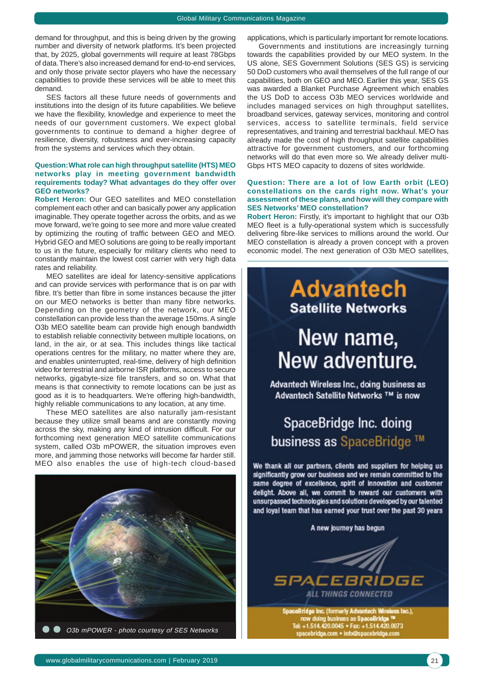demand for throughput, and this is being driven by the growing number and diversity of network platforms. It's been projected that, by 2025, global governments will require at least 78Gbps of data. There's also increased demand for end-to-end services, and only those private sector players who have the necessary capabilities to provide these services will be able to meet this demand.

SES factors all these future needs of governments and institutions into the design of its future capabilities. We believe we have the flexibility, knowledge and experience to meet the needs of our government customers. We expect global governments to continue to demand a higher degree of resilience, diversity, robustness and ever-increasing capacity from the systems and services which they obtain.

#### **Question: What role can high throughput satellite (HTS) MEO networks play in meeting government bandwidth requirements today? What advantages do they offer over GEO networks?**

**Robert Heron:** Our GEO satellites and MEO constellation complement each other and can basically power any application imaginable. They operate together across the orbits, and as we move forward, we're going to see more and more value created by optimizing the routing of traffic between GEO and MEO. Hybrid GEO and MEO solutions are going to be really important to us in the future, especially for military clients who need to constantly maintain the lowest cost carrier with very high data rates and reliability.

MEO satellites are ideal for latency-sensitive applications and can provide services with performance that is on par with fibre. It's better than fibre in some instances because the jitter on our MEO networks is better than many fibre networks. Depending on the geometry of the network, our MEO constellation can provide less than the average 150ms. A single O3b MEO satellite beam can provide high enough bandwidth to establish reliable connectivity between multiple locations, on land, in the air, or at sea. This includes things like tactical operations centres for the military, no matter where they are, and enables uninterrupted, real-time, delivery of high definition video for terrestrial and airborne ISR platforms, access to secure networks, gigabyte-size file transfers, and so on. What that means is that connectivity to remote locations can be just as good as it is to headquarters. We're offering high-bandwidth, highly reliable communications to any location, at any time.

These MEO satellites are also naturally jam-resistant because they utilize small beams and are constantly moving across the sky, making any kind of intrusion difficult. For our forthcoming next generation MEO satellite communications system, called O3b mPOWER, the situation improves even more, and jamming those networks will become far harder still. MEO also enables the use of high-tech cloud-based



applications, which is particularly important for remote locations.

Governments and institutions are increasingly turning towards the capabilities provided by our MEO system. In the US alone, SES Government Solutions (SES GS) is servicing 50 DoD customers who avail themselves of the full range of our capabilities, both on GEO and MEO. Earlier this year, SES GS was awarded a Blanket Purchase Agreement which enables the US DoD to access O3b MEO services worldwide and includes managed services on high throughput satellites, broadband services, gateway services, monitoring and control services, access to satellite terminals, field service representatives, and training and terrestrial backhaul. MEO has already made the cost of high throughput satellite capabilities attractive for government customers, and our forthcoming networks will do that even more so. We already deliver multi-Gbps HTS MEO capacity to dozens of sites worldwide.

#### **Question: There are a lot of low Earth orbit (LEO) constellations on the cards right now. What's your assessment of these plans, and how will they compare with SES Networks' MEO constellation?**

**Robert Heron:** Firstly, it's important to highlight that our O3b MEO fleet is a fully-operational system which is successfully delivering fibre-like services to millions around the world. Our MEO constellation is already a proven concept with a proven economic model. The next generation of O3b MEO satellites,

## **Advantech Satellite Networks**

# New name, New adventure.

Advantech Wireless Inc., doing business as Advantech Satellite Networks ™ is now

### SpaceBridge Inc. doing business as SpaceBridge ™

We thank all our partners, clients and suppliers for helping us significantly grow our business and we remain committed to the same degree of excellence, spirit of innovation and customer delight. Above all, we commit to reward our customers with unsurpassed technologies and solutions developed by our talented and loyal team that has earned your trust over the past 30 years

A new journey has begun



w doing business as SpaceBridge ™<br>·1.514.420.0045 • Fax: +1.514.420.0073 ridge.com + info@spacebridge.com